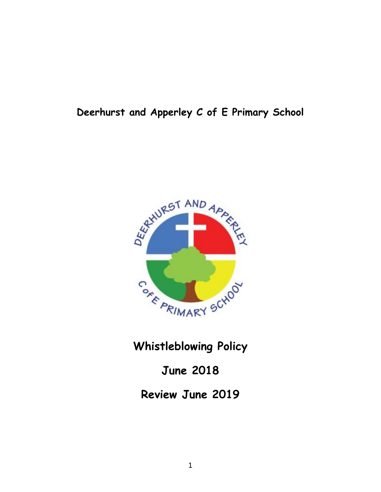# **Deerhurst and Apperley C of E Primary School**



**Whistleblowing Policy**

**June 2018**

**Review June 2019**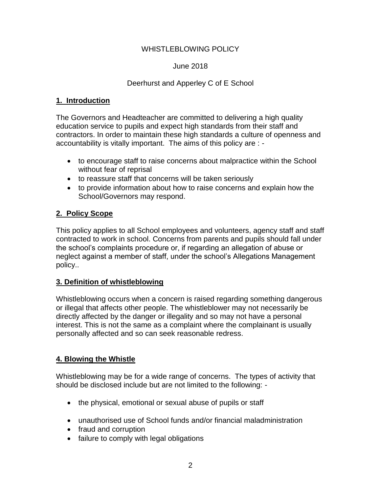## WHISTLEBLOWING POLICY

#### June 2018

#### Deerhurst and Apperley C of E School

#### **1. Introduction**

The Governors and Headteacher are committed to delivering a high quality education service to pupils and expect high standards from their staff and contractors. In order to maintain these high standards a culture of openness and accountability is vitally important. The aims of this policy are : -

- to encourage staff to raise concerns about malpractice within the School without fear of reprisal
- to reassure staff that concerns will be taken seriously
- to provide information about how to raise concerns and explain how the School/Governors may respond.

## **2. Policy Scope**

This policy applies to all School employees and volunteers, agency staff and staff contracted to work in school. Concerns from parents and pupils should fall under the school's complaints procedure or, if regarding an allegation of abuse or neglect against a member of staff, under the school's Allegations Management policy..

#### **3. Definition of whistleblowing**

Whistleblowing occurs when a concern is raised regarding something dangerous or illegal that affects other people. The whistleblower may not necessarily be directly affected by the danger or illegality and so may not have a personal interest. This is not the same as a complaint where the complainant is usually personally affected and so can seek reasonable redress.

## **4. Blowing the Whistle**

Whistleblowing may be for a wide range of concerns. The types of activity that should be disclosed include but are not limited to the following: -

- the physical, emotional or sexual abuse of pupils or staff
- unauthorised use of School funds and/or financial maladministration
- fraud and corruption
- failure to comply with legal obligations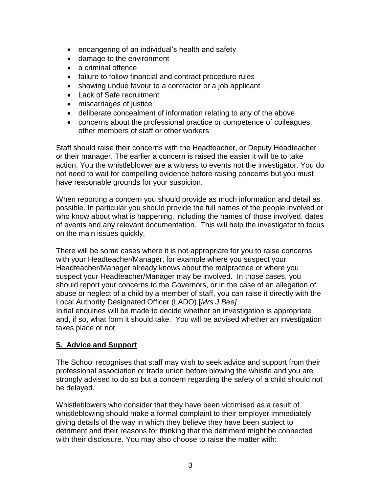- endangering of an individual's health and safety
- damage to the environment
- a criminal offence
- failure to follow financial and contract procedure rules
- showing undue favour to a contractor or a job applicant
- Lack of Safe recruitment
- miscarriages of justice
- deliberate concealment of information relating to any of the above
- concerns about the professional practice or competence of colleagues, other members of staff or other workers

Staff should raise their concerns with the Headteacher, or Deputy Headteacher or their manager. The earlier a concern is raised the easier it will be to take action. You the whistleblower are a witness to events not the investigator. You do not need to wait for compelling evidence before raising concerns but you must have reasonable grounds for your suspicion.

When reporting a concern you should provide as much information and detail as possible. In particular you should provide the full names of the people involved or who know about what is happening, including the names of those involved, dates of events and any relevant documentation. This will help the investigator to focus on the main issues quickly.

There will be some cases where it is not appropriate for you to raise concerns with your Headteacher/Manager, for example where you suspect your Headteacher/Manager already knows about the malpractice or where you suspect your Headteacher/Manager may be involved. In those cases, you should report your concerns to the Governors, or in the case of an allegation of abuse or neglect of a child by a member of staff, you can raise it directly with the Local Authority Designated Officer (LADO) [*Mrs J Bee]* Initial enquiries will be made to decide whether an investigation is appropriate and, if so, what form it should take. You will be advised whether an investigation takes place or not.

## **5. Advice and Support**

The School recognises that staff may wish to seek advice and support from their professional association or trade union before blowing the whistle and you are strongly advised to do so but a concern regarding the safety of a child should not be delayed.

Whistleblowers who consider that they have been victimised as a result of whistleblowing should make a formal complaint to their employer immediately giving details of the way in which they believe they have been subject to detriment and their reasons for thinking that the detriment might be connected with their disclosure. You may also choose to raise the matter with: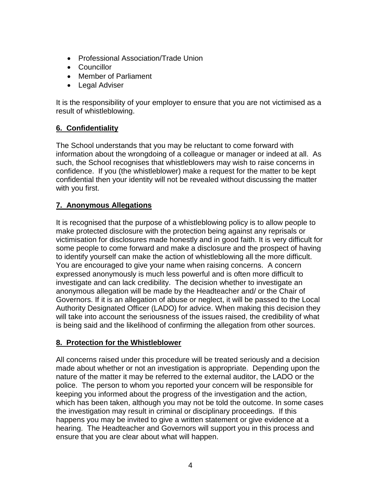- Professional Association/Trade Union
- Councillor
- Member of Parliament
- Legal Adviser

It is the responsibility of your employer to ensure that you are not victimised as a result of whistleblowing.

# **6. Confidentiality**

The School understands that you may be reluctant to come forward with information about the wrongdoing of a colleague or manager or indeed at all. As such, the School recognises that whistleblowers may wish to raise concerns in confidence. If you (the whistleblower) make a request for the matter to be kept confidential then your identity will not be revealed without discussing the matter with you first.

# **7. Anonymous Allegations**

It is recognised that the purpose of a whistleblowing policy is to allow people to make protected disclosure with the protection being against any reprisals or victimisation for disclosures made honestly and in good faith. It is very difficult for some people to come forward and make a disclosure and the prospect of having to identify yourself can make the action of whistleblowing all the more difficult. You are encouraged to give your name when raising concerns. A concern expressed anonymously is much less powerful and is often more difficult to investigate and can lack credibility. The decision whether to investigate an anonymous allegation will be made by the Headteacher and/ or the Chair of Governors. If it is an allegation of abuse or neglect, it will be passed to the Local Authority Designated Officer (LADO) for advice. When making this decision they will take into account the seriousness of the issues raised, the credibility of what is being said and the likelihood of confirming the allegation from other sources.

# **8. Protection for the Whistleblower**

All concerns raised under this procedure will be treated seriously and a decision made about whether or not an investigation is appropriate. Depending upon the nature of the matter it may be referred to the external auditor, the LADO or the police. The person to whom you reported your concern will be responsible for keeping you informed about the progress of the investigation and the action, which has been taken, although you may not be told the outcome. In some cases the investigation may result in criminal or disciplinary proceedings. If this happens you may be invited to give a written statement or give evidence at a hearing. The Headteacher and Governors will support you in this process and ensure that you are clear about what will happen.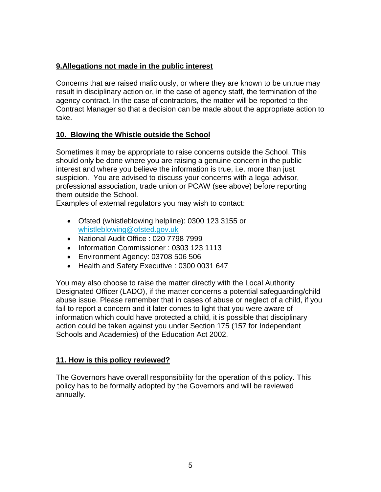## **9.Allegations not made in the public interest**

Concerns that are raised maliciously, or where they are known to be untrue may result in disciplinary action or, in the case of agency staff, the termination of the agency contract. In the case of contractors, the matter will be reported to the Contract Manager so that a decision can be made about the appropriate action to take.

## **10. Blowing the Whistle outside the School**

Sometimes it may be appropriate to raise concerns outside the School. This should only be done where you are raising a genuine concern in the public interest and where you believe the information is true, i.e. more than just suspicion. You are advised to discuss your concerns with a legal advisor, professional association, trade union or PCAW (see above) before reporting them outside the School.

Examples of external regulators you may wish to contact:

- Ofsted (whistleblowing helpline): 0300 123 3155 or [whistleblowing@ofsted.gov.uk](mailto:whistleblowing@ofsted.gov.uk)
- National Audit Office : 020 7798 7999
- Information Commissioner: 0303 123 1113
- Environment Agency: 03708 506 506
- Health and Safety Executive : 0300 0031 647

You may also choose to raise the matter directly with the Local Authority Designated Officer (LADO), if the matter concerns a potential safeguarding/child abuse issue. Please remember that in cases of abuse or neglect of a child, if you fail to report a concern and it later comes to light that you were aware of information which could have protected a child, it is possible that disciplinary action could be taken against you under Section 175 (157 for Independent Schools and Academies) of the Education Act 2002.

## **11. How is this policy reviewed?**

The Governors have overall responsibility for the operation of this policy. This policy has to be formally adopted by the Governors and will be reviewed annually.